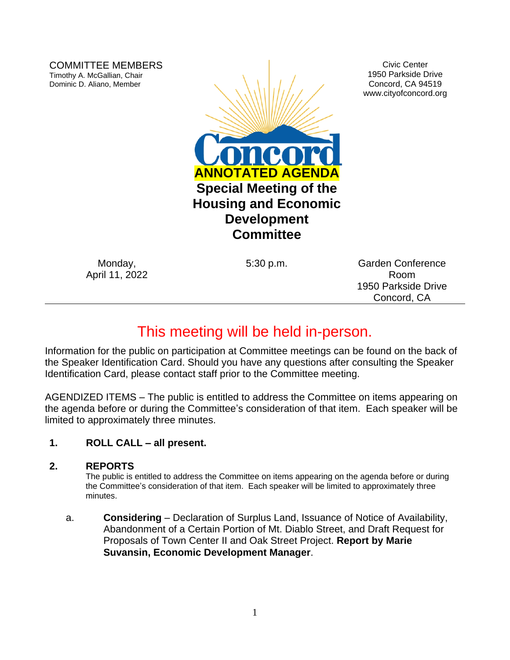COMMITTEE MEMBERS Timothy A. McGallian, Chair Dominic D. Aliano, Member



Civic Center 1950 Parkside Drive Concord, CA 94519 www.cityofconcord.org

Monday, April 11, 2022

5:30 p.m. Garden Conference Room 1950 Parkside Drive Concord, CA

# This meeting will be held in-person.

Information for the public on participation at Committee meetings can be found on the back of the Speaker Identification Card. Should you have any questions after consulting the Speaker Identification Card, please contact staff prior to the Committee meeting.

AGENDIZED ITEMS – The public is entitled to address the Committee on items appearing on the agenda before or during the Committee's consideration of that item. Each speaker will be limited to approximately three minutes.

## **1. ROLL CALL – all present.**

#### **2. REPORTS**

The public is entitled to address the Committee on items appearing on the agenda before or during the Committee's consideration of that item. Each speaker will be limited to approximately three minutes.

a. **Considering** – Declaration of Surplus Land, Issuance of Notice of Availability, Abandonment of a Certain Portion of Mt. Diablo Street, and Draft Request for Proposals of Town Center II and Oak Street Project. **Report by Marie Suvansin, Economic Development Manager**.